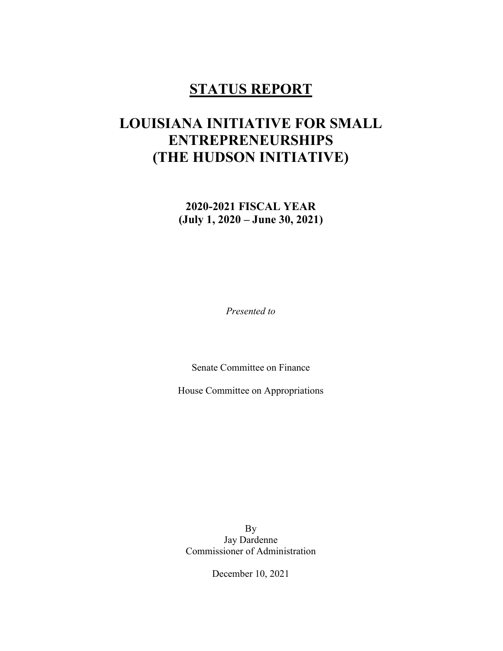## STATUS REPORT

# LOUISIANA INITIATIVE FOR SMALL ENTREPRENEURSHIPS (THE HUDSON INITIATIVE)

2020-2021 FISCAL YEAR (July 1, 2020 – June 30, 2021)

Presented to

Senate Committee on Finance

House Committee on Appropriations

By Jay Dardenne Commissioner of Administration

December 10, 2021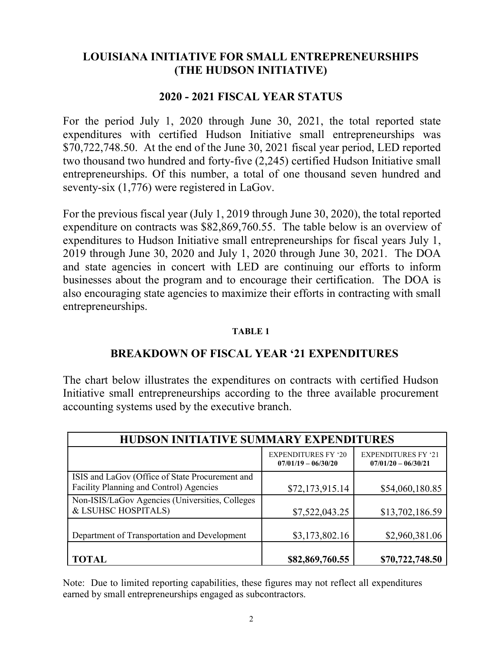## LOUISIANA INITIATIVE FOR SMALL ENTREPRENEURSHIPS (THE HUDSON INITIATIVE)

## 2020 - 2021 FISCAL YEAR STATUS

For the period July 1, 2020 through June 30, 2021, the total reported state expenditures with certified Hudson Initiative small entrepreneurships was \$70,722,748.50. At the end of the June 30, 2021 fiscal year period, LED reported two thousand two hundred and forty-five (2,245) certified Hudson Initiative small entrepreneurships. Of this number, a total of one thousand seven hundred and seventy-six (1,776) were registered in LaGov.

For the previous fiscal year (July 1, 2019 through June 30, 2020), the total reported expenditure on contracts was \$82,869,760.55. The table below is an overview of expenditures to Hudson Initiative small entrepreneurships for fiscal years July 1, 2019 through June 30, 2020 and July 1, 2020 through June 30, 2021. The DOA and state agencies in concert with LED are continuing our efforts to inform businesses about the program and to encourage their certification. The DOA is also encouraging state agencies to maximize their efforts in contracting with small entrepreneurships.

#### TABLE 1

## BREAKDOWN OF FISCAL YEAR '21 EXPENDITURES

The chart below illustrates the expenditures on contracts with certified Hudson Initiative small entrepreneurships according to the three available procurement accounting systems used by the executive branch.

| HUDSON INITIATIVE SUMMARY EXPENDITURES                                                     |                                                     |                                                     |  |  |  |
|--------------------------------------------------------------------------------------------|-----------------------------------------------------|-----------------------------------------------------|--|--|--|
|                                                                                            | <b>EXPENDITURES FY '20</b><br>$07/01/19 - 06/30/20$ | <b>EXPENDITURES FY '21</b><br>$07/01/20 - 06/30/21$ |  |  |  |
| ISIS and LaGov (Office of State Procurement and<br>Facility Planning and Control) Agencies | \$72,173,915.14                                     | \$54,060,180.85                                     |  |  |  |
| Non-ISIS/LaGov Agencies (Universities, Colleges<br>& LSUHSC HOSPITALS)                     | \$7,522,043.25                                      | \$13,702,186.59                                     |  |  |  |
| Department of Transportation and Development                                               | \$3,173,802.16                                      | \$2,960,381.06                                      |  |  |  |
| <b>TOTAL</b>                                                                               | \$82,869,760.55                                     | \$70,722,748.50                                     |  |  |  |

Note: Due to limited reporting capabilities, these figures may not reflect all expenditures earned by small entrepreneurships engaged as subcontractors.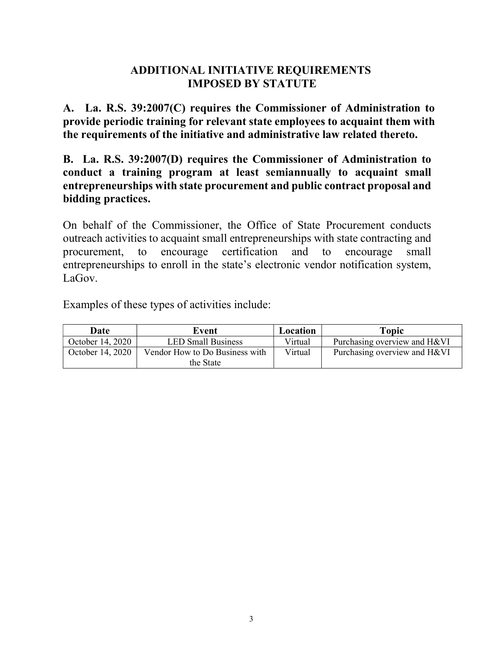## ADDITIONAL INITIATIVE REQUIREMENTS IMPOSED BY STATUTE

A. La. R.S. 39:2007(C) requires the Commissioner of Administration to provide periodic training for relevant state employees to acquaint them with the requirements of the initiative and administrative law related thereto.

B. La. R.S. 39:2007(D) requires the Commissioner of Administration to conduct a training program at least semiannually to acquaint small entrepreneurships with state procurement and public contract proposal and bidding practices.

On behalf of the Commissioner, the Office of State Procurement conducts outreach activities to acquaint small entrepreneurships with state contracting and procurement, to encourage certification and to encourage small entrepreneurships to enroll in the state's electronic vendor notification system, LaGov.

Examples of these types of activities include:

| Date             | Event                          | Location | Topic                        |
|------------------|--------------------------------|----------|------------------------------|
| October 14, 2020 | <b>LED Small Business</b>      | Virtual  | Purchasing overview and H&VI |
| October 14, 2020 | Vendor How to Do Business with | Virtual  | Purchasing overview and H&VI |
|                  | the State                      |          |                              |